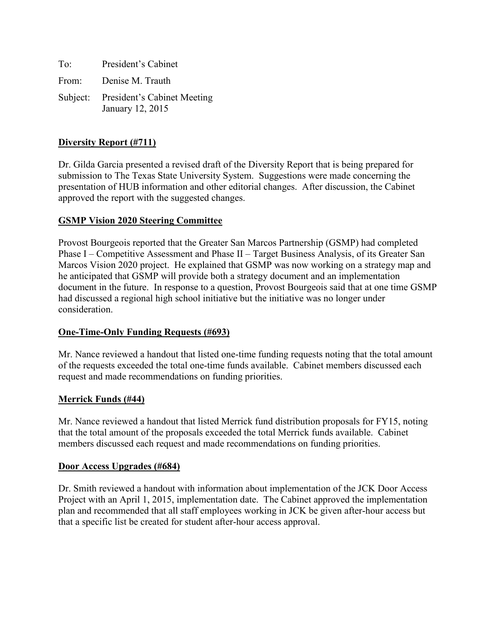To: President's Cabinet From: Denise M. Trauth Subject: President's Cabinet Meeting January 12, 2015

# **Diversity Report (#711)**

Dr. Gilda Garcia presented a revised draft of the Diversity Report that is being prepared for submission to The Texas State University System. Suggestions were made concerning the presentation of HUB information and other editorial changes. After discussion, the Cabinet approved the report with the suggested changes.

# **GSMP Vision 2020 Steering Committee**

Provost Bourgeois reported that the Greater San Marcos Partnership (GSMP) had completed Phase I – Competitive Assessment and Phase II – Target Business Analysis, of its Greater San Marcos Vision 2020 project. He explained that GSMP was now working on a strategy map and he anticipated that GSMP will provide both a strategy document and an implementation document in the future. In response to a question, Provost Bourgeois said that at one time GSMP had discussed a regional high school initiative but the initiative was no longer under consideration.

# **One-Time-Only Funding Requests (#693)**

Mr. Nance reviewed a handout that listed one-time funding requests noting that the total amount of the requests exceeded the total one-time funds available. Cabinet members discussed each request and made recommendations on funding priorities.

# **Merrick Funds (#44)**

Mr. Nance reviewed a handout that listed Merrick fund distribution proposals for FY15, noting that the total amount of the proposals exceeded the total Merrick funds available. Cabinet members discussed each request and made recommendations on funding priorities.

### **Door Access Upgrades (#684)**

Dr. Smith reviewed a handout with information about implementation of the JCK Door Access Project with an April 1, 2015, implementation date. The Cabinet approved the implementation plan and recommended that all staff employees working in JCK be given after-hour access but that a specific list be created for student after-hour access approval.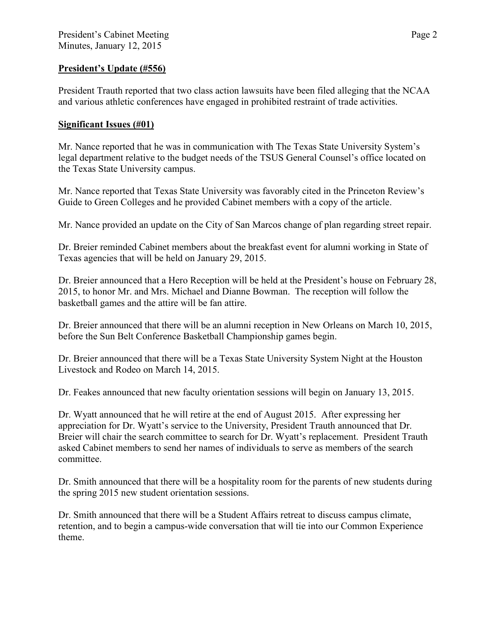# **President's Update (#556)**

President Trauth reported that two class action lawsuits have been filed alleging that the NCAA and various athletic conferences have engaged in prohibited restraint of trade activities.

### **Significant Issues (#01)**

Mr. Nance reported that he was in communication with The Texas State University System's legal department relative to the budget needs of the TSUS General Counsel's office located on the Texas State University campus.

Mr. Nance reported that Texas State University was favorably cited in the Princeton Review's Guide to Green Colleges and he provided Cabinet members with a copy of the article.

Mr. Nance provided an update on the City of San Marcos change of plan regarding street repair.

Dr. Breier reminded Cabinet members about the breakfast event for alumni working in State of Texas agencies that will be held on January 29, 2015.

Dr. Breier announced that a Hero Reception will be held at the President's house on February 28, 2015, to honor Mr. and Mrs. Michael and Dianne Bowman. The reception will follow the basketball games and the attire will be fan attire.

Dr. Breier announced that there will be an alumni reception in New Orleans on March 10, 2015, before the Sun Belt Conference Basketball Championship games begin.

Dr. Breier announced that there will be a Texas State University System Night at the Houston Livestock and Rodeo on March 14, 2015.

Dr. Feakes announced that new faculty orientation sessions will begin on January 13, 2015.

Dr. Wyatt announced that he will retire at the end of August 2015. After expressing her appreciation for Dr. Wyatt's service to the University, President Trauth announced that Dr. Breier will chair the search committee to search for Dr. Wyatt's replacement. President Trauth asked Cabinet members to send her names of individuals to serve as members of the search committee.

Dr. Smith announced that there will be a hospitality room for the parents of new students during the spring 2015 new student orientation sessions.

Dr. Smith announced that there will be a Student Affairs retreat to discuss campus climate, retention, and to begin a campus-wide conversation that will tie into our Common Experience theme.